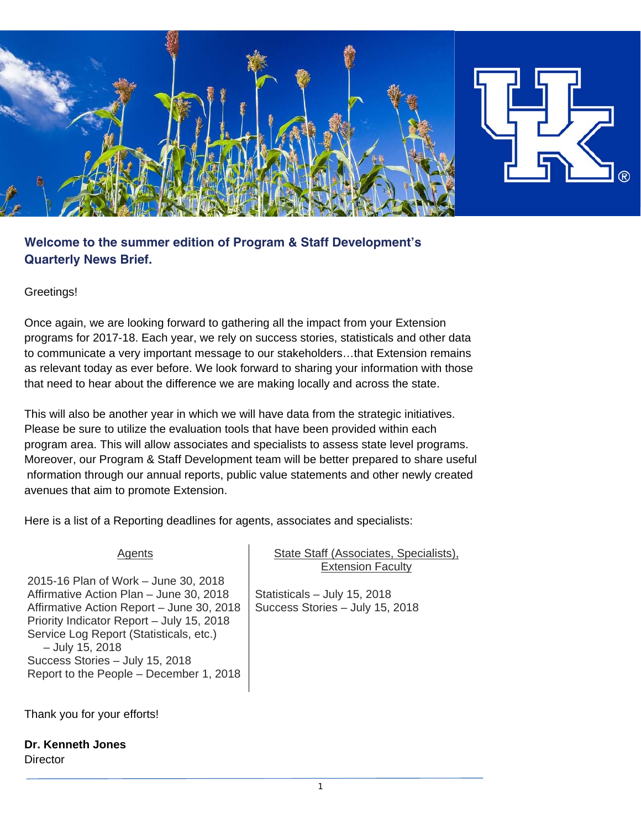

**Welcome to the summer edition of Program & Staff Development's Quarterly News Brief.** 

### Greetings!

Once again, we are looking forward to gathering all the impact from your Extension programs for 2017-18. Each year, we rely on success stories, statisticals and other data to communicate a very important message to our stakeholders…that Extension remains as relevant today as ever before. We look forward to sharing your information with those that need to hear about the difference we are making locally and across the state.

This will also be another year in which we will have data from the strategic initiatives. Please be sure to utilize the evaluation tools that have been provided within each program area. This will allow associates and specialists to assess state level programs. Moreover, our Program & Staff Development team will be better prepared to share useful nformation through our annual reports, public value statements and other newly created avenues that aim to promote Extension.

Here is a list of a Reporting deadlines for agents, associates and specialists:

#### Agents

2015-16 Plan of Work – June 30, 2018 Affirmative Action Plan – June 30, 2018 Affirmative Action Report – June 30, 2018 Priority Indicator Report – July 15, 2018 Service Log Report (Statisticals, etc.) – July 15, 2018 Success Stories – July 15, 2018 Report to the People – December 1, 2018

## State Staff (Associates, Specialists), Extension Faculty

Statisticals – July 15, 2018 Success Stories – July 15, 2018

Thank you for your efforts!

**Dr. Kenneth Jones** 

**Director**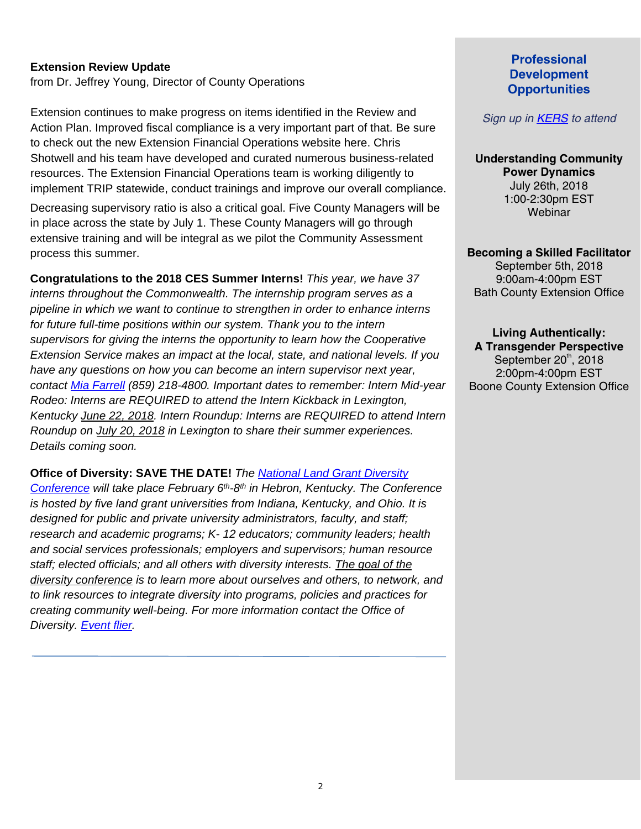### **Extension Review Update**

from Dr. Jeffrey Young, Director of County Operations

Extension continues to make progress on items identified in the Review and Action Plan. Improved fiscal compliance is a very important part of that. Be sure to check out the new Extension Financial Operations website here. Chris Shotwell and his team have developed and curated numerous business-related resources. The Extension Financial Operations team is working diligently to implement TRIP statewide, conduct trainings and improve our overall compliance.

Decreasing supervisory ratio is also a critical goal. Five County Managers will be in place across the state by July 1. These County Managers will go through extensive training and will be integral as we pilot the Community Assessment process this summer.

**Congratulations to the 2018 CES Summer Interns!** *This year, we have 37 interns throughout the Commonwealth. The internship program serves as a pipeline in which we want to continue to strengthen in order to enhance interns for future full-time positions within our system. Thank you to the intern supervisors for giving the interns the opportunity to learn how the Cooperative Extension Service makes an impact at the local, state, and national levels. If you have any questions on how you can become an intern supervisor next year, contact [Mia Farrell](mailto:antomia.farrell@uky.edu) (859) 218-4800. Important dates to remember: Intern Mid-year Rodeo: Interns are REQUIRED to attend the Intern Kickback in Lexington, Kentucky June 22, 2018. Intern Roundup: Interns are REQUIRED to attend Intern Roundup on July 20, 2018 in Lexington to share their summer experiences. Details coming soon.*

**Office of Diversity: SAVE THE DATE!** *The National Land [Grant Diversity](http://ces.ca.uky.edu/tristatediversityconference/)  [Conference](http://ces.ca.uky.edu/tristatediversityconference/) will take place February 6th-8th in Hebron, Kentucky. The Conference is hosted by five land grant universities from Indiana, Kentucky, and Ohio. It is designed for public and private university administrators, faculty, and staff; research and academic programs; K- 12 educators; community leaders; health and social services professionals; employers and supervisors; human resource staff; elected officials; and all others with diversity interests. The goal of the diversity conference is to learn more about ourselves and others, to network, and to link resources to integrate diversity into programs, policies and practices for creating community well-being. For more information contact the Office of Diversity. [Event flier.](https://psd.ca.uky.edu/file/nlgdcsavethedate-feb6ththru8th2019jpg)*

# **Professional Development Opportunities**

### *Sign up in [KERS](https://kers.ca.uky.edu/core/login) to attend*

**Understanding Community Power Dynamics**  July 26th, 2018 1:00-2:30pm EST **Webinar** 

**Becoming a Skilled Facilitator**  September 5th, 2018 9:00am-4:00pm EST Bath County Extension Office

**Living Authentically: A Transgender Perspective**  September  $20<sup>th</sup>$ , 2018 2:00pm-4:00pm EST Boone County Extension Office